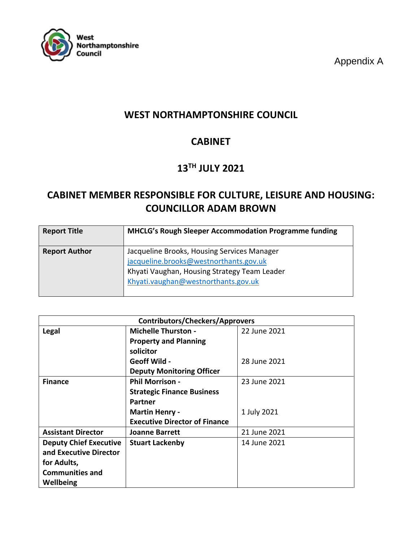

Appendix A

# **WEST NORTHAMPTONSHIRE COUNCIL**

# **CABINET**

# **13TH JULY 2021**

# **CABINET MEMBER RESPONSIBLE FOR CULTURE, LEISURE AND HOUSING: COUNCILLOR ADAM BROWN**

| <b>Report Title</b>  | <b>MHCLG's Rough Sleeper Accommodation Programme funding</b>                                                                                                                 |
|----------------------|------------------------------------------------------------------------------------------------------------------------------------------------------------------------------|
| <b>Report Author</b> | Jacqueline Brooks, Housing Services Manager<br>jacqueline.brooks@westnorthants.gov.uk<br>Khyati Vaughan, Housing Strategy Team Leader<br>Khyati.vaughan@westnorthants.gov.uk |

| <b>Contributors/Checkers/Approvers</b> |                                      |              |  |
|----------------------------------------|--------------------------------------|--------------|--|
| Legal                                  | <b>Michelle Thurston -</b>           | 22 June 2021 |  |
|                                        | <b>Property and Planning</b>         |              |  |
|                                        | solicitor                            |              |  |
|                                        | <b>Geoff Wild -</b>                  | 28 June 2021 |  |
|                                        | <b>Deputy Monitoring Officer</b>     |              |  |
| <b>Finance</b>                         | <b>Phil Morrison -</b>               | 23 June 2021 |  |
|                                        | <b>Strategic Finance Business</b>    |              |  |
|                                        | <b>Partner</b>                       |              |  |
|                                        | <b>Martin Henry -</b>                | 1 July 2021  |  |
|                                        | <b>Executive Director of Finance</b> |              |  |
| <b>Assistant Director</b>              | <b>Joanne Barrett</b>                | 21 June 2021 |  |
| <b>Deputy Chief Executive</b>          | <b>Stuart Lackenby</b>               | 14 June 2021 |  |
| and Executive Director                 |                                      |              |  |
| for Adults,                            |                                      |              |  |
| <b>Communities and</b>                 |                                      |              |  |
| Wellbeing                              |                                      |              |  |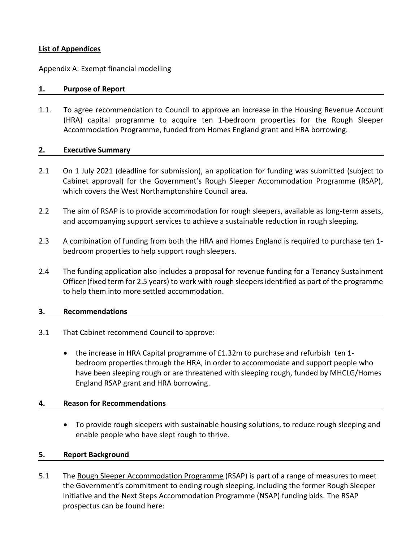### **List of Appendices**

Appendix A: Exempt financial modelling

### **1. Purpose of Report**

1.1. To agree recommendation to Council to approve an increase in the Housing Revenue Account (HRA) capital programme to acquire ten 1-bedroom properties for the Rough Sleeper Accommodation Programme, funded from Homes England grant and HRA borrowing.

#### **2. Executive Summary**

- 2.1 On 1 July 2021 (deadline for submission), an application for funding was submitted (subject to Cabinet approval) for the Government's Rough Sleeper Accommodation Programme (RSAP), which covers the West Northamptonshire Council area.
- 2.2 The aim of RSAP is to provide accommodation for rough sleepers, available as long-term assets, and accompanying support services to achieve a sustainable reduction in rough sleeping.
- 2.3 A combination of funding from both the HRA and Homes England is required to purchase ten 1 bedroom properties to help support rough sleepers.
- 2.4 The funding application also includes a proposal for revenue funding for a Tenancy Sustainment Officer (fixed term for 2.5 years) to work with rough sleepers identified as part of the programme to help them into more settled accommodation.

### **3. Recommendations**

- 3.1 That Cabinet recommend Council to approve:
	- the increase in HRA Capital programme of £1.32m to purchase and refurbish ten 1bedroom properties through the HRA, in order to accommodate and support people who have been sleeping rough or are threatened with sleeping rough, funded by MHCLG/Homes England RSAP grant and HRA borrowing.

### **4. Reason for Recommendations**

 To provide rough sleepers with sustainable housing solutions, to reduce rough sleeping and enable people who have slept rough to thrive.

### **5. Report Background**

5.1 The [Rough Sleeper Accommodation Programme](https://assets.publishing.service.gov.uk/government/uploads/system/uploads/attachment_data/file/994366/RSAP_2021-24_Prospectus.pdf) (RSAP) is part of a range of measures to meet the Government's commitment to ending rough sleeping, including the former Rough Sleeper Initiative and the Next Steps Accommodation Programme (NSAP) funding bids. The RSAP prospectus can be found here: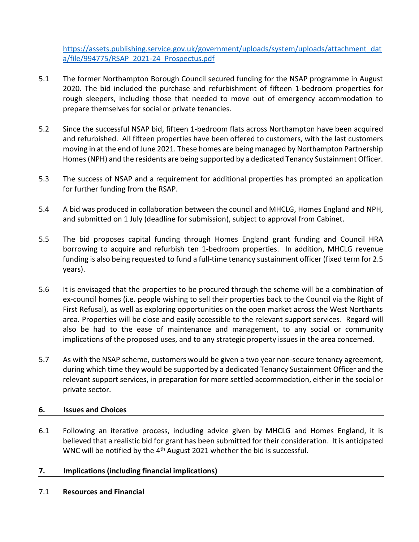[https://assets.publishing.service.gov.uk/government/uploads/system/uploads/attachment\\_dat](https://assets.publishing.service.gov.uk/government/uploads/system/uploads/attachment_data/file/994775/RSAP_2021-24_Prospectus.pdf) [a/file/994775/RSAP\\_2021-24\\_Prospectus.pdf](https://assets.publishing.service.gov.uk/government/uploads/system/uploads/attachment_data/file/994775/RSAP_2021-24_Prospectus.pdf)

- 5.1 The former Northampton Borough Council secured funding for the NSAP programme in August 2020. The bid included the purchase and refurbishment of fifteen 1-bedroom properties for rough sleepers, including those that needed to move out of emergency accommodation to prepare themselves for social or private tenancies.
- 5.2 Since the successful NSAP bid, fifteen 1-bedroom flats across Northampton have been acquired and refurbished. All fifteen properties have been offered to customers, with the last customers moving in at the end of June 2021. These homes are being managed by Northampton Partnership Homes (NPH) and the residents are being supported by a dedicated Tenancy Sustainment Officer.
- 5.3 The success of NSAP and a requirement for additional properties has prompted an application for further funding from the RSAP.
- 5.4 A bid was produced in collaboration between the council and MHCLG, Homes England and NPH, and submitted on 1 July (deadline for submission), subject to approval from Cabinet.
- 5.5 The bid proposes capital funding through Homes England grant funding and Council HRA borrowing to acquire and refurbish ten 1-bedroom properties. In addition, MHCLG revenue funding is also being requested to fund a full-time tenancy sustainment officer (fixed term for 2.5 years).
- 5.6 It is envisaged that the properties to be procured through the scheme will be a combination of ex-council homes (i.e. people wishing to sell their properties back to the Council via the Right of First Refusal), as well as exploring opportunities on the open market across the West Northants area. Properties will be close and easily accessible to the relevant support services. Regard will also be had to the ease of maintenance and management, to any social or community implications of the proposed uses, and to any strategic property issues in the area concerned.
- 5.7 As with the NSAP scheme, customers would be given a two year non-secure tenancy agreement, during which time they would be supported by a dedicated Tenancy Sustainment Officer and the relevant support services, in preparation for more settled accommodation, either in the social or private sector.

## **6. Issues and Choices**

6.1 Following an iterative process, including advice given by MHCLG and Homes England, it is believed that a realistic bid for grant has been submitted for their consideration. It is anticipated WNC will be notified by the 4<sup>th</sup> August 2021 whether the bid is successful.

## **7. Implications (including financial implications)**

7.1 **Resources and Financial**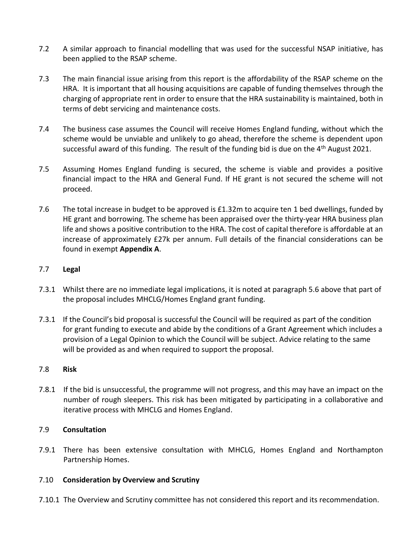- 7.2 A similar approach to financial modelling that was used for the successful NSAP initiative, has been applied to the RSAP scheme.
- 7.3 The main financial issue arising from this report is the affordability of the RSAP scheme on the HRA. It is important that all housing acquisitions are capable of funding themselves through the charging of appropriate rent in order to ensure that the HRA sustainability is maintained, both in terms of debt servicing and maintenance costs.
- 7.4 The business case assumes the Council will receive Homes England funding, without which the scheme would be unviable and unlikely to go ahead, therefore the scheme is dependent upon successful award of this funding. The result of the funding bid is due on the  $4<sup>th</sup>$  August 2021.
- 7.5 Assuming Homes England funding is secured, the scheme is viable and provides a positive financial impact to the HRA and General Fund. If HE grant is not secured the scheme will not proceed.
- 7.6 The total increase in budget to be approved is £1.32m to acquire ten 1 bed dwellings, funded by HE grant and borrowing. The scheme has been appraised over the thirty-year HRA business plan life and shows a positive contribution to the HRA. The cost of capital therefore is affordable at an increase of approximately £27k per annum. Full details of the financial considerations can be found in exempt **Appendix A**.

## 7.7 **Legal**

- 7.3.1 Whilst there are no immediate legal implications, it is noted at paragraph 5.6 above that part of the proposal includes MHCLG/Homes England grant funding.
- 7.3.1 If the Council's bid proposal is successful the Council will be required as part of the condition for grant funding to execute and abide by the conditions of a Grant Agreement which includes a provision of a Legal Opinion to which the Council will be subject. Advice relating to the same will be provided as and when required to support the proposal.

### 7.8 **Risk**

7.8.1 If the bid is unsuccessful, the programme will not progress, and this may have an impact on the number of rough sleepers. This risk has been mitigated by participating in a collaborative and iterative process with MHCLG and Homes England.

### 7.9 **Consultation**

7.9.1 There has been extensive consultation with MHCLG, Homes England and Northampton Partnership Homes.

### 7.10 **Consideration by Overview and Scrutiny**

7.10.1 The Overview and Scrutiny committee has not considered this report and its recommendation.